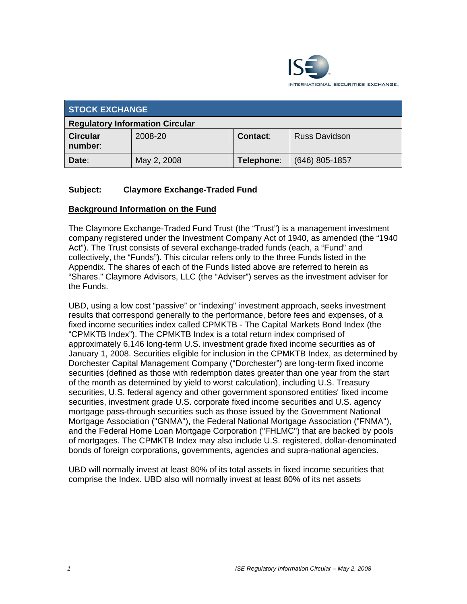

| <b>STOCK EXCHANGE</b>                  |             |            |                      |  |  |
|----------------------------------------|-------------|------------|----------------------|--|--|
| <b>Regulatory Information Circular</b> |             |            |                      |  |  |
| <b>Circular</b><br>number:             | 2008-20     | Contact:   | <b>Russ Davidson</b> |  |  |
| Date:                                  | May 2, 2008 | Telephone: | $(646)$ 805-1857     |  |  |

## **Subject: Claymore Exchange-Traded Fund**

## **Background Information on the Fund**

The Claymore Exchange-Traded Fund Trust (the "Trust") is a management investment company registered under the Investment Company Act of 1940, as amended (the "1940 Act"). The Trust consists of several exchange-traded funds (each, a "Fund" and collectively, the "Funds"). This circular refers only to the three Funds listed in the Appendix. The shares of each of the Funds listed above are referred to herein as "Shares." Claymore Advisors, LLC (the "Adviser") serves as the investment adviser for the Funds.

UBD, using a low cost "passive" or "indexing" investment approach, seeks investment results that correspond generally to the performance, before fees and expenses, of a fixed income securities index called CPMKTB - The Capital Markets Bond Index (the "CPMKTB Index"). The CPMKTB Index is a total return index comprised of approximately 6,146 long-term U.S. investment grade fixed income securities as of January 1, 2008. Securities eligible for inclusion in the CPMKTB Index, as determined by Dorchester Capital Management Company ("Dorchester") are long-term fixed income securities (defined as those with redemption dates greater than one year from the start of the month as determined by yield to worst calculation), including U.S. Treasury securities, U.S. federal agency and other government sponsored entities' fixed income securities, investment grade U.S. corporate fixed income securities and U.S. agency mortgage pass-through securities such as those issued by the Government National Mortgage Association ("GNMA"), the Federal National Mortgage Association ("FNMA"), and the Federal Home Loan Mortgage Corporation ("FHLMC") that are backed by pools of mortgages. The CPMKTB Index may also include U.S. registered, dollar-denominated bonds of foreign corporations, governments, agencies and supra-national agencies.

UBD will normally invest at least 80% of its total assets in fixed income securities that comprise the Index. UBD also will normally invest at least 80% of its net assets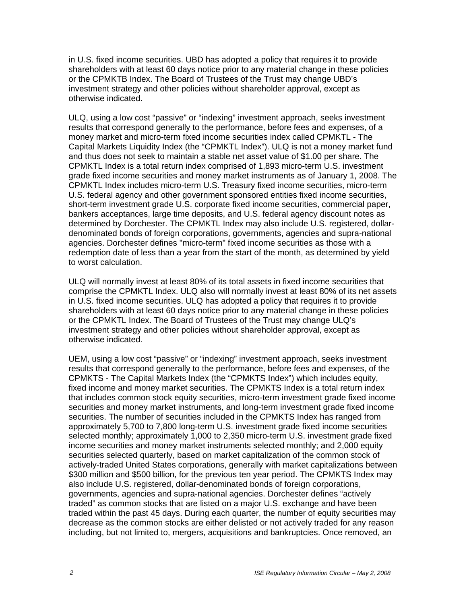in U.S. fixed income securities. UBD has adopted a policy that requires it to provide shareholders with at least 60 days notice prior to any material change in these policies or the CPMKTB Index. The Board of Trustees of the Trust may change UBD's investment strategy and other policies without shareholder approval, except as otherwise indicated.

ULQ, using a low cost "passive" or "indexing" investment approach, seeks investment results that correspond generally to the performance, before fees and expenses, of a money market and micro-term fixed income securities index called CPMKTL - The Capital Markets Liquidity Index (the "CPMKTL Index"). ULQ is not a money market fund and thus does not seek to maintain a stable net asset value of \$1.00 per share. The CPMKTL Index is a total return index comprised of 1,893 micro-term U.S. investment grade fixed income securities and money market instruments as of January 1, 2008. The CPMKTL Index includes micro-term U.S. Treasury fixed income securities, micro-term U.S. federal agency and other government sponsored entities fixed income securities, short-term investment grade U.S. corporate fixed income securities, commercial paper, bankers acceptances, large time deposits, and U.S. federal agency discount notes as determined by Dorchester. The CPMKTL Index may also include U.S. registered, dollardenominated bonds of foreign corporations, governments, agencies and supra-national agencies. Dorchester defines "micro-term" fixed income securities as those with a redemption date of less than a year from the start of the month, as determined by yield to worst calculation.

ULQ will normally invest at least 80% of its total assets in fixed income securities that comprise the CPMKTL Index. ULQ also will normally invest at least 80% of its net assets in U.S. fixed income securities. ULQ has adopted a policy that requires it to provide shareholders with at least 60 days notice prior to any material change in these policies or the CPMKTL Index. The Board of Trustees of the Trust may change ULQ's investment strategy and other policies without shareholder approval, except as otherwise indicated.

UEM, using a low cost "passive" or "indexing" investment approach, seeks investment results that correspond generally to the performance, before fees and expenses, of the CPMKTS - The Capital Markets Index (the "CPMKTS Index") which includes equity, fixed income and money market securities. The CPMKTS Index is a total return index that includes common stock equity securities, micro-term investment grade fixed income securities and money market instruments, and long-term investment grade fixed income securities. The number of securities included in the CPMKTS Index has ranged from approximately 5,700 to 7,800 long-term U.S. investment grade fixed income securities selected monthly; approximately 1,000 to 2,350 micro-term U.S. investment grade fixed income securities and money market instruments selected monthly; and 2,000 equity securities selected quarterly, based on market capitalization of the common stock of actively-traded United States corporations, generally with market capitalizations between \$300 million and \$500 billion, for the previous ten year period. The CPMKTS Index may also include U.S. registered, dollar-denominated bonds of foreign corporations, governments, agencies and supra-national agencies. Dorchester defines "actively traded" as common stocks that are listed on a major U.S. exchange and have been traded within the past 45 days. During each quarter, the number of equity securities may decrease as the common stocks are either delisted or not actively traded for any reason including, but not limited to, mergers, acquisitions and bankruptcies. Once removed, an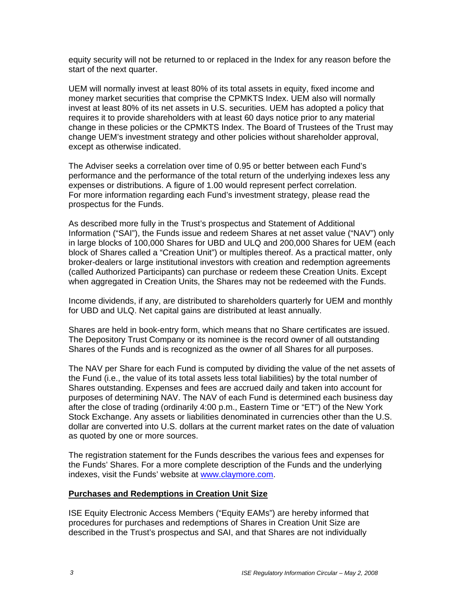equity security will not be returned to or replaced in the Index for any reason before the start of the next quarter.

UEM will normally invest at least 80% of its total assets in equity, fixed income and money market securities that comprise the CPMKTS Index. UEM also will normally invest at least 80% of its net assets in U.S. securities. UEM has adopted a policy that requires it to provide shareholders with at least 60 days notice prior to any material change in these policies or the CPMKTS Index. The Board of Trustees of the Trust may change UEM's investment strategy and other policies without shareholder approval, except as otherwise indicated.

The Adviser seeks a correlation over time of 0.95 or better between each Fund's performance and the performance of the total return of the underlying indexes less any expenses or distributions. A figure of 1.00 would represent perfect correlation. For more information regarding each Fund's investment strategy, please read the prospectus for the Funds.

As described more fully in the Trust's prospectus and Statement of Additional Information ("SAI"), the Funds issue and redeem Shares at net asset value ("NAV") only in large blocks of 100,000 Shares for UBD and ULQ and 200,000 Shares for UEM (each block of Shares called a "Creation Unit") or multiples thereof. As a practical matter, only broker-dealers or large institutional investors with creation and redemption agreements (called Authorized Participants) can purchase or redeem these Creation Units. Except when aggregated in Creation Units, the Shares may not be redeemed with the Funds.

Income dividends, if any, are distributed to shareholders quarterly for UEM and monthly for UBD and ULQ. Net capital gains are distributed at least annually.

Shares are held in book-entry form, which means that no Share certificates are issued. The Depository Trust Company or its nominee is the record owner of all outstanding Shares of the Funds and is recognized as the owner of all Shares for all purposes.

The NAV per Share for each Fund is computed by dividing the value of the net assets of the Fund (i.e., the value of its total assets less total liabilities) by the total number of Shares outstanding. Expenses and fees are accrued daily and taken into account for purposes of determining NAV. The NAV of each Fund is determined each business day after the close of trading (ordinarily 4:00 p.m., Eastern Time or "ET") of the New York Stock Exchange. Any assets or liabilities denominated in currencies other than the U.S. dollar are converted into U.S. dollars at the current market rates on the date of valuation as quoted by one or more sources.

The registration statement for the Funds describes the various fees and expenses for the Funds' Shares. For a more complete description of the Funds and the underlying indexes, visit the Funds' website at www.claymore.com.

#### **Purchases and Redemptions in Creation Unit Size**

ISE Equity Electronic Access Members ("Equity EAMs") are hereby informed that procedures for purchases and redemptions of Shares in Creation Unit Size are described in the Trust's prospectus and SAI, and that Shares are not individually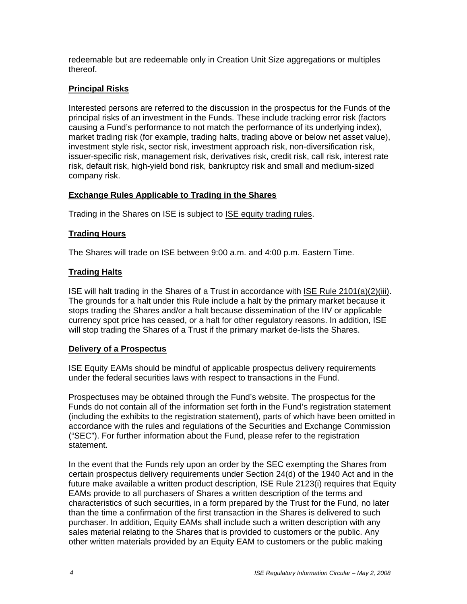redeemable but are redeemable only in Creation Unit Size aggregations or multiples thereof.

## **Principal Risks**

Interested persons are referred to the discussion in the prospectus for the Funds of the principal risks of an investment in the Funds. These include tracking error risk (factors causing a Fund's performance to not match the performance of its underlying index), market trading risk (for example, trading halts, trading above or below net asset value), investment style risk, sector risk, investment approach risk, non-diversification risk, issuer-specific risk, management risk, derivatives risk, credit risk, call risk, interest rate risk, default risk, high-yield bond risk, bankruptcy risk and small and medium-sized company risk.

## **Exchange Rules Applicable to Trading in the Shares**

Trading in the Shares on ISE is subject to **ISE equity trading rules**.

## **Trading Hours**

The Shares will trade on ISE between 9:00 a.m. and 4:00 p.m. Eastern Time.

## **Trading Halts**

ISE will halt trading in the Shares of a Trust in accordance with ISE Rule 2101(a)(2)(iii). The grounds for a halt under this Rule include a halt by the primary market because it stops trading the Shares and/or a halt because dissemination of the IIV or applicable currency spot price has ceased, or a halt for other regulatory reasons. In addition, ISE will stop trading the Shares of a Trust if the primary market de-lists the Shares.

#### **Delivery of a Prospectus**

ISE Equity EAMs should be mindful of applicable prospectus delivery requirements under the federal securities laws with respect to transactions in the Fund.

Prospectuses may be obtained through the Fund's website. The prospectus for the Funds do not contain all of the information set forth in the Fund's registration statement (including the exhibits to the registration statement), parts of which have been omitted in accordance with the rules and regulations of the Securities and Exchange Commission ("SEC"). For further information about the Fund, please refer to the registration statement.

In the event that the Funds rely upon an order by the SEC exempting the Shares from certain prospectus delivery requirements under Section 24(d) of the 1940 Act and in the future make available a written product description, ISE Rule 2123(i) requires that Equity EAMs provide to all purchasers of Shares a written description of the terms and characteristics of such securities, in a form prepared by the Trust for the Fund, no later than the time a confirmation of the first transaction in the Shares is delivered to such purchaser. In addition, Equity EAMs shall include such a written description with any sales material relating to the Shares that is provided to customers or the public. Any other written materials provided by an Equity EAM to customers or the public making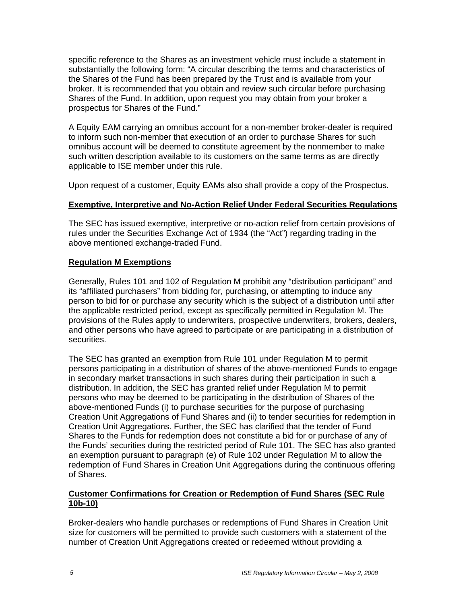specific reference to the Shares as an investment vehicle must include a statement in substantially the following form: "A circular describing the terms and characteristics of the Shares of the Fund has been prepared by the Trust and is available from your broker. It is recommended that you obtain and review such circular before purchasing Shares of the Fund. In addition, upon request you may obtain from your broker a prospectus for Shares of the Fund."

A Equity EAM carrying an omnibus account for a non-member broker-dealer is required to inform such non-member that execution of an order to purchase Shares for such omnibus account will be deemed to constitute agreement by the nonmember to make such written description available to its customers on the same terms as are directly applicable to ISE member under this rule.

Upon request of a customer, Equity EAMs also shall provide a copy of the Prospectus.

## **Exemptive, Interpretive and No-Action Relief Under Federal Securities Regulations**

The SEC has issued exemptive, interpretive or no-action relief from certain provisions of rules under the Securities Exchange Act of 1934 (the "Act") regarding trading in the above mentioned exchange-traded Fund.

## **Regulation M Exemptions**

Generally, Rules 101 and 102 of Regulation M prohibit any "distribution participant" and its "affiliated purchasers" from bidding for, purchasing, or attempting to induce any person to bid for or purchase any security which is the subject of a distribution until after the applicable restricted period, except as specifically permitted in Regulation M. The provisions of the Rules apply to underwriters, prospective underwriters, brokers, dealers, and other persons who have agreed to participate or are participating in a distribution of securities.

The SEC has granted an exemption from Rule 101 under Regulation M to permit persons participating in a distribution of shares of the above-mentioned Funds to engage in secondary market transactions in such shares during their participation in such a distribution. In addition, the SEC has granted relief under Regulation M to permit persons who may be deemed to be participating in the distribution of Shares of the above-mentioned Funds (i) to purchase securities for the purpose of purchasing Creation Unit Aggregations of Fund Shares and (ii) to tender securities for redemption in Creation Unit Aggregations. Further, the SEC has clarified that the tender of Fund Shares to the Funds for redemption does not constitute a bid for or purchase of any of the Funds' securities during the restricted period of Rule 101. The SEC has also granted an exemption pursuant to paragraph (e) of Rule 102 under Regulation M to allow the redemption of Fund Shares in Creation Unit Aggregations during the continuous offering of Shares.

## **Customer Confirmations for Creation or Redemption of Fund Shares (SEC Rule 10b-10)**

Broker-dealers who handle purchases or redemptions of Fund Shares in Creation Unit size for customers will be permitted to provide such customers with a statement of the number of Creation Unit Aggregations created or redeemed without providing a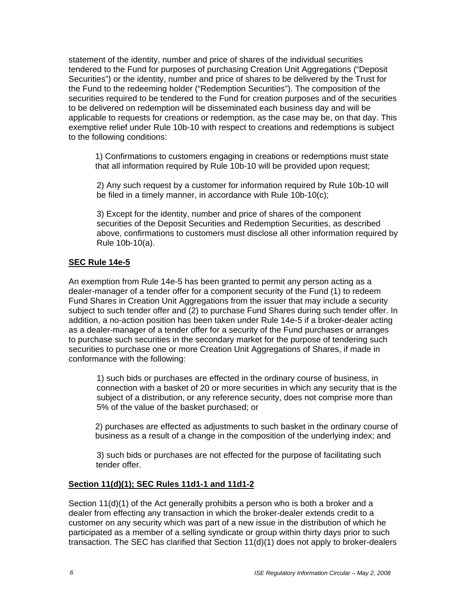statement of the identity, number and price of shares of the individual securities tendered to the Fund for purposes of purchasing Creation Unit Aggregations ("Deposit Securities") or the identity, number and price of shares to be delivered by the Trust for the Fund to the redeeming holder ("Redemption Securities"). The composition of the securities required to be tendered to the Fund for creation purposes and of the securities to be delivered on redemption will be disseminated each business day and will be applicable to requests for creations or redemption, as the case may be, on that day. This exemptive relief under Rule 10b-10 with respect to creations and redemptions is subject to the following conditions:

1) Confirmations to customers engaging in creations or redemptions must state that all information required by Rule 10b-10 will be provided upon request;

2) Any such request by a customer for information required by Rule 10b-10 will be filed in a timely manner, in accordance with Rule 10b-10(c);

3) Except for the identity, number and price of shares of the component securities of the Deposit Securities and Redemption Securities, as described above, confirmations to customers must disclose all other information required by Rule 10b-10(a).

## **SEC Rule 14e-5**

An exemption from Rule 14e-5 has been granted to permit any person acting as a dealer-manager of a tender offer for a component security of the Fund (1) to redeem Fund Shares in Creation Unit Aggregations from the issuer that may include a security subject to such tender offer and (2) to purchase Fund Shares during such tender offer. In addition, a no-action position has been taken under Rule 14e-5 if a broker-dealer acting as a dealer-manager of a tender offer for a security of the Fund purchases or arranges to purchase such securities in the secondary market for the purpose of tendering such securities to purchase one or more Creation Unit Aggregations of Shares, if made in conformance with the following:

1) such bids or purchases are effected in the ordinary course of business, in connection with a basket of 20 or more securities in which any security that is the subject of a distribution, or any reference security, does not comprise more than 5% of the value of the basket purchased; or

2) purchases are effected as adjustments to such basket in the ordinary course of business as a result of a change in the composition of the underlying index; and

3) such bids or purchases are not effected for the purpose of facilitating such tender offer.

#### **Section 11(d)(1); SEC Rules 11d1-1 and 11d1-2**

Section 11(d)(1) of the Act generally prohibits a person who is both a broker and a dealer from effecting any transaction in which the broker-dealer extends credit to a customer on any security which was part of a new issue in the distribution of which he participated as a member of a selling syndicate or group within thirty days prior to such transaction. The SEC has clarified that Section 11(d)(1) does not apply to broker-dealers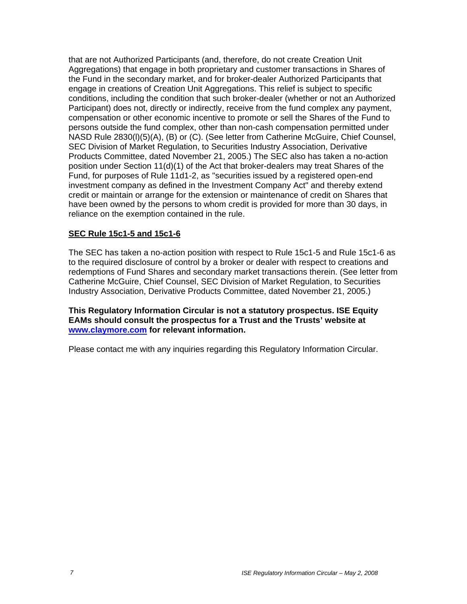that are not Authorized Participants (and, therefore, do not create Creation Unit Aggregations) that engage in both proprietary and customer transactions in Shares of the Fund in the secondary market, and for broker-dealer Authorized Participants that engage in creations of Creation Unit Aggregations. This relief is subject to specific conditions, including the condition that such broker-dealer (whether or not an Authorized Participant) does not, directly or indirectly, receive from the fund complex any payment, compensation or other economic incentive to promote or sell the Shares of the Fund to persons outside the fund complex, other than non-cash compensation permitted under NASD Rule 2830(l)(5)(A), (B) or (C). (See letter from Catherine McGuire, Chief Counsel, SEC Division of Market Regulation, to Securities Industry Association, Derivative Products Committee, dated November 21, 2005.) The SEC also has taken a no-action position under Section 11(d)(1) of the Act that broker-dealers may treat Shares of the Fund, for purposes of Rule 11d1-2, as "securities issued by a registered open-end investment company as defined in the Investment Company Act" and thereby extend credit or maintain or arrange for the extension or maintenance of credit on Shares that have been owned by the persons to whom credit is provided for more than 30 days, in reliance on the exemption contained in the rule.

## **SEC Rule 15c1-5 and 15c1-6**

The SEC has taken a no-action position with respect to Rule 15c1-5 and Rule 15c1-6 as to the required disclosure of control by a broker or dealer with respect to creations and redemptions of Fund Shares and secondary market transactions therein. (See letter from Catherine McGuire, Chief Counsel, SEC Division of Market Regulation, to Securities Industry Association, Derivative Products Committee, dated November 21, 2005.)

**This Regulatory Information Circular is not a statutory prospectus. ISE Equity EAMs should consult the prospectus for a Trust and the Trusts' website at www.claymore.com for relevant information.** 

Please contact me with any inquiries regarding this Regulatory Information Circular.